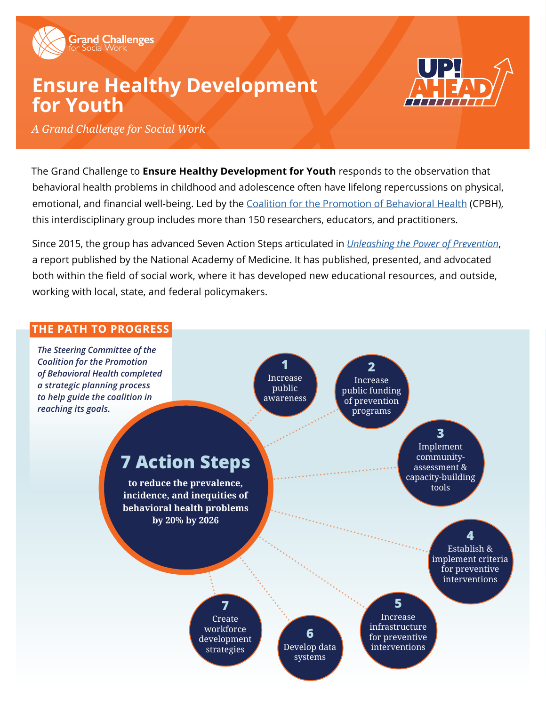

# **Ensure Healthy Development for Youth**



*A Grand Challenge for Social Work*

The Grand Challenge to **Ensure Healthy Development for Youth** responds to the observation that behavioral health problems in childhood and adolescence often have lifelong repercussions on physical, emotional, and financial well-being. Led by the [Coalition for the Promotion of Behavioral Health](https://www.coalitionforbehavioralhealth.org
) (CPBH), this interdisciplinary group includes more than 150 researchers, educators, and practitioners.

Since 2015, the group has advanced Seven Action Steps articulated in *[Unleashing the Power of Prevention](https://nam.edu/perspectives-2015-unleashing-the-power-of-prevention/)*, a report published by the National Academy of Medicine. It has published, presented, and advocated both within the field of social work, where it has developed new educational resources, and outside, working with local, state, and federal policymakers.

### **THE PATH TO PROGRESS**